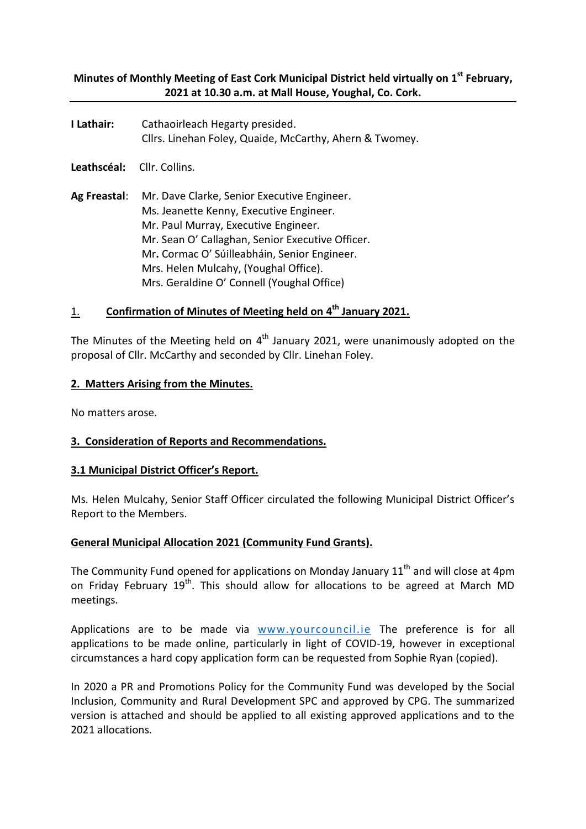# **Minutes of Monthly Meeting of East Cork Municipal District held virtually on 1 st February, 2021 at 10.30 a.m. at Mall House, Youghal, Co. Cork.**

**I Lathair:** Cathaoirleach Hegarty presided. Cllrs. Linehan Foley, Quaide, McCarthy, Ahern & Twomey.

**Leathscéal:** Cllr. Collins.

**Ag Freastal**: Mr. Dave Clarke, Senior Executive Engineer. Ms. Jeanette Kenny, Executive Engineer. Mr. Paul Murray, Executive Engineer. Mr. Sean O' Callaghan, Senior Executive Officer. Mr**.** Cormac O' Súilleabháin, Senior Engineer. Mrs. Helen Mulcahy, (Youghal Office). Mrs. Geraldine O' Connell (Youghal Office)

# 1. **Confirmation of Minutes of Meeting held on 4 th January 2021.**

The Minutes of the Meeting held on  $4<sup>th</sup>$  January 2021, were unanimously adopted on the proposal of Cllr. McCarthy and seconded by Cllr. Linehan Foley.

## **2. Matters Arising from the Minutes.**

No matters arose.

# **3. Consideration of Reports and Recommendations.**

# **3.1 Municipal District Officer's Report.**

Ms. Helen Mulcahy, Senior Staff Officer circulated the following Municipal District Officer's Report to the Members.

# **General Municipal Allocation 2021 (Community Fund Grants).**

The Community Fund opened for applications on Monday January  $11<sup>th</sup>$  and will close at 4pm on Friday February 19<sup>th</sup>. This should allow for allocations to be agreed at March MD meetings.

Applications are to be made via [www.yourcouncil.ie](about:blank) The preference is for all applications to be made online, particularly in light of COVID-19, however in exceptional circumstances a hard copy application form can be requested from Sophie Ryan (copied).

In 2020 a PR and Promotions Policy for the Community Fund was developed by the Social Inclusion, Community and Rural Development SPC and approved by CPG. The summarized version is attached and should be applied to all existing approved applications and to the 2021 allocations.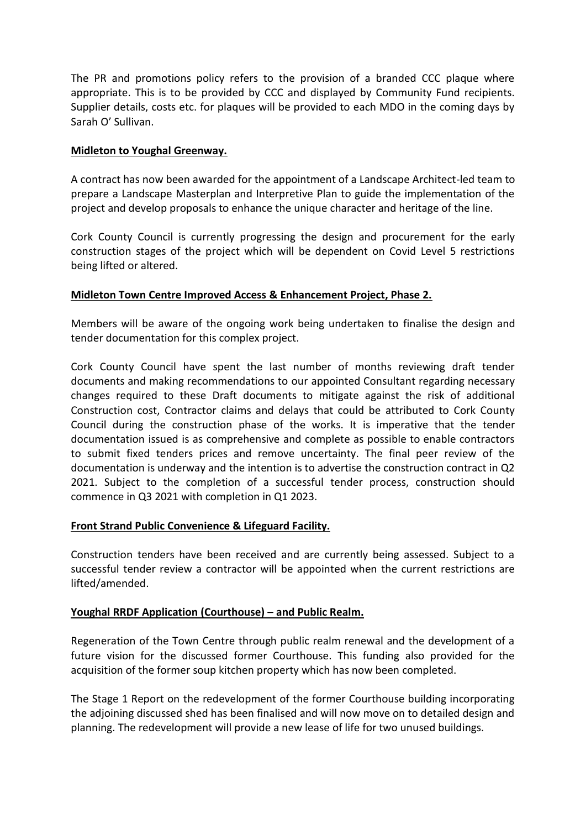The PR and promotions policy refers to the provision of a branded CCC plaque where appropriate. This is to be provided by CCC and displayed by Community Fund recipients. Supplier details, costs etc. for plaques will be provided to each MDO in the coming days by Sarah O' Sullivan.

## **Midleton to Youghal Greenway.**

A contract has now been awarded for the appointment of a Landscape Architect-led team to prepare a Landscape Masterplan and Interpretive Plan to guide the implementation of the project and develop proposals to enhance the unique character and heritage of the line.

Cork County Council is currently progressing the design and procurement for the early construction stages of the project which will be dependent on Covid Level 5 restrictions being lifted or altered.

# **Midleton Town Centre Improved Access & Enhancement Project, Phase 2.**

Members will be aware of the ongoing work being undertaken to finalise the design and tender documentation for this complex project.

Cork County Council have spent the last number of months reviewing draft tender documents and making recommendations to our appointed Consultant regarding necessary changes required to these Draft documents to mitigate against the risk of additional Construction cost, Contractor claims and delays that could be attributed to Cork County Council during the construction phase of the works. It is imperative that the tender documentation issued is as comprehensive and complete as possible to enable contractors to submit fixed tenders prices and remove uncertainty. The final peer review of the documentation is underway and the intention is to advertise the construction contract in Q2 2021. Subject to the completion of a successful tender process, construction should commence in Q3 2021 with completion in Q1 2023.

# **Front Strand Public Convenience & Lifeguard Facility.**

Construction tenders have been received and are currently being assessed. Subject to a successful tender review a contractor will be appointed when the current restrictions are lifted/amended.

# **Youghal RRDF Application (Courthouse) – and Public Realm.**

Regeneration of the Town Centre through public realm renewal and the development of a future vision for the discussed former Courthouse. This funding also provided for the acquisition of the former soup kitchen property which has now been completed.

The Stage 1 Report on the redevelopment of the former Courthouse building incorporating the adjoining discussed shed has been finalised and will now move on to detailed design and planning. The redevelopment will provide a new lease of life for two unused buildings.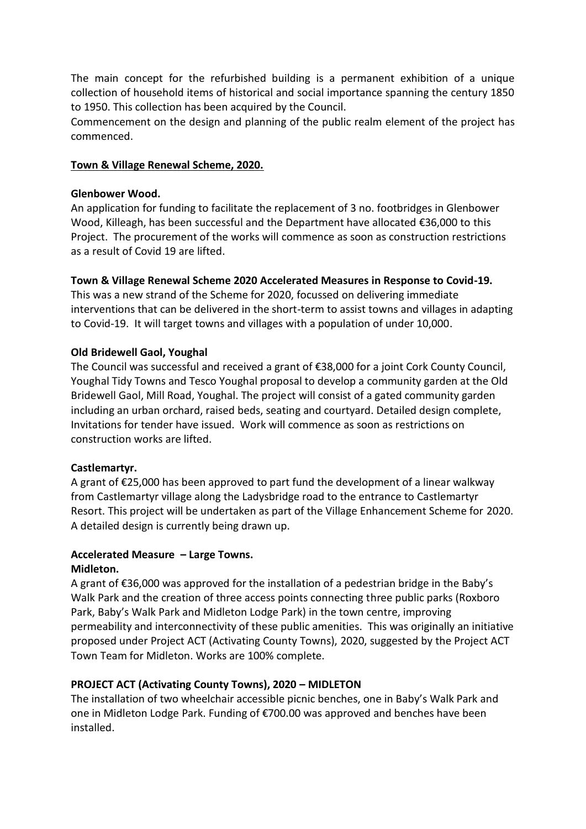The main concept for the refurbished building is a permanent exhibition of a unique collection of household items of historical and social importance spanning the century 1850 to 1950. This collection has been acquired by the Council.

Commencement on the design and planning of the public realm element of the project has commenced.

## **Town & Village Renewal Scheme, 2020.**

#### **Glenbower Wood.**

An application for funding to facilitate the replacement of 3 no. footbridges in Glenbower Wood, Killeagh, has been successful and the Department have allocated €36,000 to this Project. The procurement of the works will commence as soon as construction restrictions as a result of Covid 19 are lifted.

# **Town & Village Renewal Scheme 2020 Accelerated Measures in Response to Covid-19.**

This was a new strand of the Scheme for 2020, focussed on delivering immediate interventions that can be delivered in the short-term to assist towns and villages in adapting to Covid-19. It will target towns and villages with a population of under 10,000.

## **Old Bridewell Gaol, Youghal**

The Council was successful and received a grant of €38,000 for a joint Cork County Council, Youghal Tidy Towns and Tesco Youghal proposal to develop a community garden at the Old Bridewell Gaol, Mill Road, Youghal. The project will consist of a gated community garden including an urban orchard, raised beds, seating and courtyard. Detailed design complete, Invitations for tender have issued. Work will commence as soon as restrictions on construction works are lifted.

# **Castlemartyr.**

A grant of €25,000 has been approved to part fund the development of a linear walkway from Castlemartyr village along the Ladysbridge road to the entrance to Castlemartyr Resort. This project will be undertaken as part of the Village Enhancement Scheme for 2020. A detailed design is currently being drawn up.

# **Accelerated Measure – Large Towns.**

#### **Midleton.**

A grant of €36,000 was approved for the installation of a pedestrian bridge in the Baby's Walk Park and the creation of three access points connecting three public parks (Roxboro Park, Baby's Walk Park and Midleton Lodge Park) in the town centre, improving permeability and interconnectivity of these public amenities. This was originally an initiative proposed under Project ACT (Activating County Towns), 2020, suggested by the Project ACT Town Team for Midleton. Works are 100% complete.

# **PROJECT ACT (Activating County Towns), 2020 – MIDLETON**

The installation of two wheelchair accessible picnic benches, one in Baby's Walk Park and one in Midleton Lodge Park. Funding of €700.00 was approved and benches have been installed.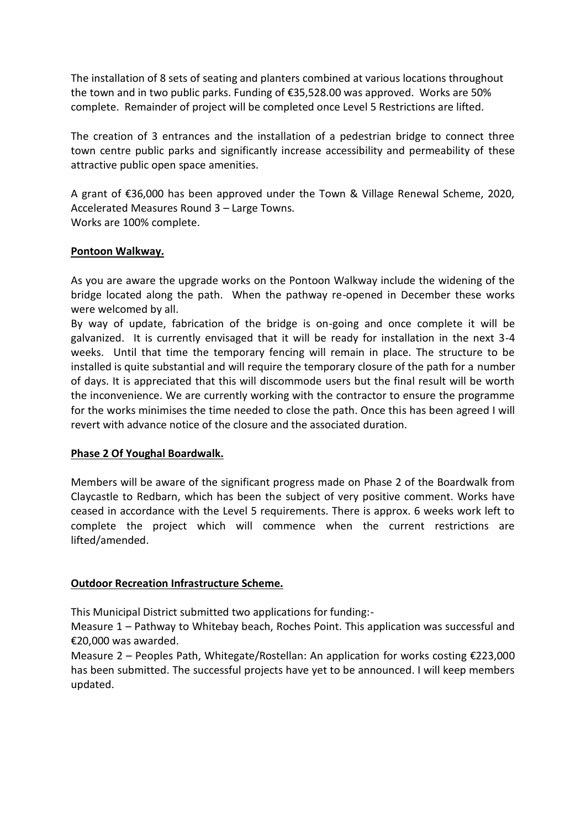The installation of 8 sets of seating and planters combined at various locations throughout the town and in two public parks. Funding of €35,528.00 was approved. Works are 50% complete. Remainder of project will be completed once Level 5 Restrictions are lifted.

The creation of 3 entrances and the installation of a pedestrian bridge to connect three town centre public parks and significantly increase accessibility and permeability of these attractive public open space amenities.

A grant of €36,000 has been approved under the Town & Village Renewal Scheme, 2020, Accelerated Measures Round 3 – Large Towns. Works are 100% complete.

## **Pontoon Walkway.**

As you are aware the upgrade works on the Pontoon Walkway include the widening of the bridge located along the path. When the pathway re-opened in December these works were welcomed by all.

By way of update, fabrication of the bridge is on-going and once complete it will be galvanized. It is currently envisaged that it will be ready for installation in the next 3-4 weeks. Until that time the temporary fencing will remain in place. The structure to be installed is quite substantial and will require the temporary closure of the path for a number of days. It is appreciated that this will discommode users but the final result will be worth the inconvenience. We are currently working with the contractor to ensure the programme for the works minimises the time needed to close the path. Once this has been agreed I will revert with advance notice of the closure and the associated duration.

# **Phase 2 Of Youghal Boardwalk.**

Members will be aware of the significant progress made on Phase 2 of the Boardwalk from Claycastle to Redbarn, which has been the subject of very positive comment. Works have ceased in accordance with the Level 5 requirements. There is approx. 6 weeks work left to complete the project which will commence when the current restrictions are lifted/amended.

# **Outdoor Recreation Infrastructure Scheme.**

This Municipal District submitted two applications for funding:-

Measure 1 – Pathway to Whitebay beach, Roches Point. This application was successful and €20,000 was awarded.

Measure 2 – Peoples Path, Whitegate/Rostellan: An application for works costing €223,000 has been submitted. The successful projects have yet to be announced. I will keep members updated.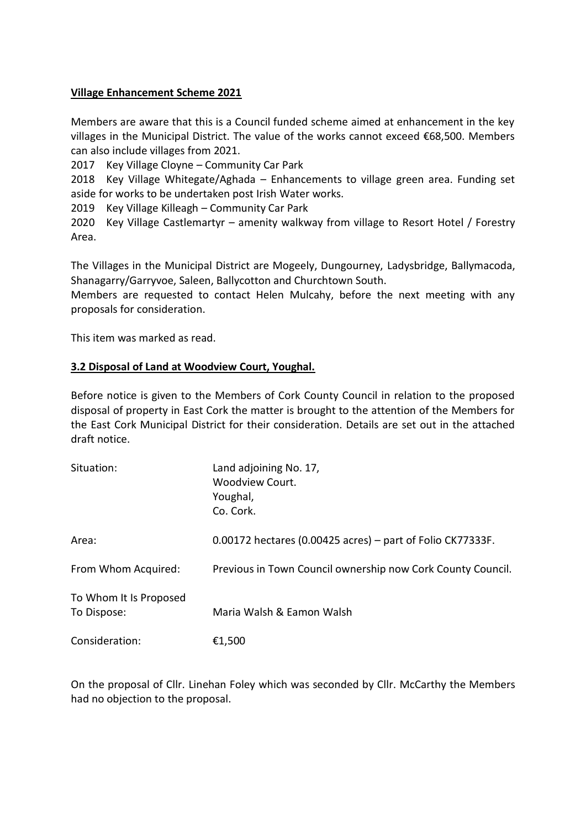## **Village Enhancement Scheme 2021**

Members are aware that this is a Council funded scheme aimed at enhancement in the key villages in the Municipal District. The value of the works cannot exceed €68,500. Members can also include villages from 2021.

2017 Key Village Cloyne – Community Car Park

2018 Key Village Whitegate/Aghada – Enhancements to village green area. Funding set aside for works to be undertaken post Irish Water works.

2019 Key Village Killeagh – Community Car Park

2020 Key Village Castlemartyr – amenity walkway from village to Resort Hotel / Forestry Area.

The Villages in the Municipal District are Mogeely, Dungourney, Ladysbridge, Ballymacoda, Shanagarry/Garryvoe, Saleen, Ballycotton and Churchtown South.

Members are requested to contact Helen Mulcahy, before the next meeting with any proposals for consideration.

This item was marked as read.

## **3.2 Disposal of Land at Woodview Court, Youghal.**

Before notice is given to the Members of Cork County Council in relation to the proposed disposal of property in East Cork the matter is brought to the attention of the Members for the East Cork Municipal District for their consideration. Details are set out in the attached draft notice.

| Situation:                            | Land adjoining No. 17,<br>Woodview Court.<br>Youghal,<br>Co. Cork. |
|---------------------------------------|--------------------------------------------------------------------|
| Area:                                 | $0.00172$ hectares (0.00425 acres) – part of Folio CK77333F.       |
| From Whom Acquired:                   | Previous in Town Council ownership now Cork County Council.        |
| To Whom It Is Proposed<br>To Dispose: | Maria Walsh & Eamon Walsh                                          |
| Consideration:                        | €1,500                                                             |

On the proposal of Cllr. Linehan Foley which was seconded by Cllr. McCarthy the Members had no objection to the proposal.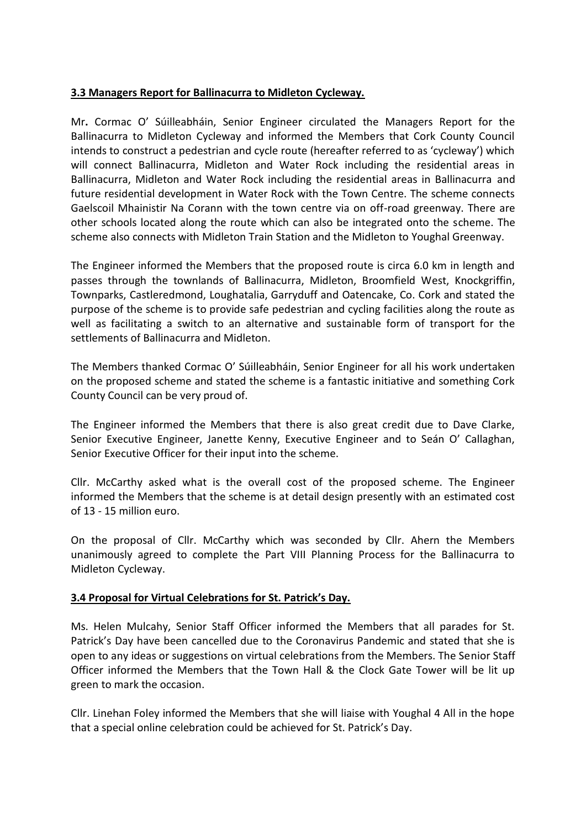# **3.3 Managers Report for Ballinacurra to Midleton Cycleway.**

Mr**.** Cormac O' Súilleabháin, Senior Engineer circulated the Managers Report for the Ballinacurra to Midleton Cycleway and informed the Members that Cork County Council intends to construct a pedestrian and cycle route (hereafter referred to as 'cycleway') which will connect Ballinacurra, Midleton and Water Rock including the residential areas in Ballinacurra, Midleton and Water Rock including the residential areas in Ballinacurra and future residential development in Water Rock with the Town Centre. The scheme connects Gaelscoil Mhainistir Na Corann with the town centre via on off-road greenway. There are other schools located along the route which can also be integrated onto the scheme. The scheme also connects with Midleton Train Station and the Midleton to Youghal Greenway.

The Engineer informed the Members that the proposed route is circa 6.0 km in length and passes through the townlands of Ballinacurra, Midleton, Broomfield West, Knockgriffin, Townparks, Castleredmond, Loughatalia, Garryduff and Oatencake, Co. Cork and stated the purpose of the scheme is to provide safe pedestrian and cycling facilities along the route as well as facilitating a switch to an alternative and sustainable form of transport for the settlements of Ballinacurra and Midleton.

The Members thanked Cormac O' Súilleabháin, Senior Engineer for all his work undertaken on the proposed scheme and stated the scheme is a fantastic initiative and something Cork County Council can be very proud of.

The Engineer informed the Members that there is also great credit due to Dave Clarke, Senior Executive Engineer, Janette Kenny, Executive Engineer and to Seán O' Callaghan, Senior Executive Officer for their input into the scheme.

Cllr. McCarthy asked what is the overall cost of the proposed scheme. The Engineer informed the Members that the scheme is at detail design presently with an estimated cost of 13 - 15 million euro.

On the proposal of Cllr. McCarthy which was seconded by Cllr. Ahern the Members unanimously agreed to complete the Part VIII Planning Process for the Ballinacurra to Midleton Cycleway.

#### **3.4 Proposal for Virtual Celebrations for St. Patrick's Day.**

Ms. Helen Mulcahy, Senior Staff Officer informed the Members that all parades for St. Patrick's Day have been cancelled due to the Coronavirus Pandemic and stated that she is open to any ideas or suggestions on virtual celebrations from the Members. The Senior Staff Officer informed the Members that the Town Hall & the Clock Gate Tower will be lit up green to mark the occasion.

Cllr. Linehan Foley informed the Members that she will liaise with Youghal 4 All in the hope that a special online celebration could be achieved for St. Patrick's Day.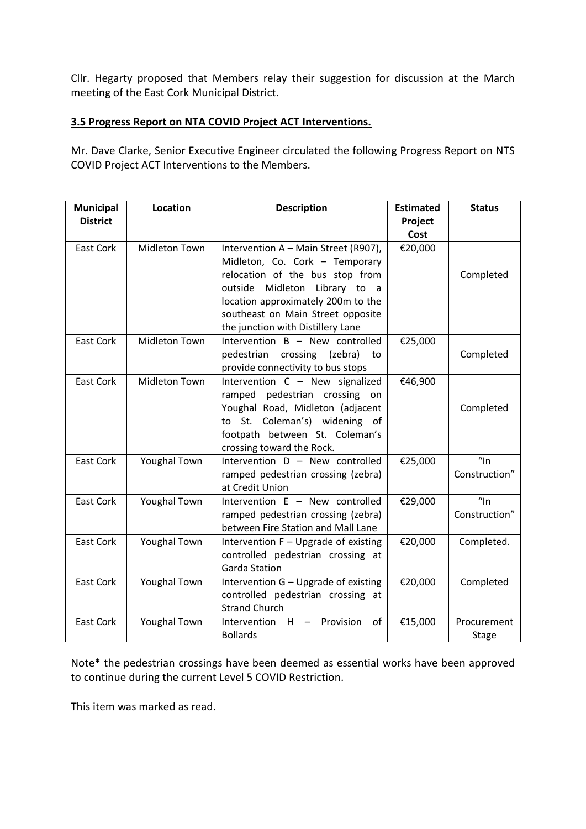Cllr. Hegarty proposed that Members relay their suggestion for discussion at the March meeting of the East Cork Municipal District.

## **3.5 Progress Report on NTA COVID Project ACT Interventions.**

Mr. Dave Clarke, Senior Executive Engineer circulated the following Progress Report on NTS COVID Project ACT Interventions to the Members.

| Municipal<br><b>District</b> | Location             | <b>Description</b>                                                                                                                                                                                                                                         | <b>Estimated</b><br>Project<br>Cost | <b>Status</b>               |
|------------------------------|----------------------|------------------------------------------------------------------------------------------------------------------------------------------------------------------------------------------------------------------------------------------------------------|-------------------------------------|-----------------------------|
| <b>East Cork</b>             | <b>Midleton Town</b> | Intervention A - Main Street (R907),<br>Midleton, Co. Cork - Temporary<br>relocation of the bus stop from<br>outside Midleton Library to a<br>location approximately 200m to the<br>southeast on Main Street opposite<br>the junction with Distillery Lane | €20,000                             | Completed                   |
| <b>East Cork</b>             | Midleton Town        | Intervention B - New controlled<br>pedestrian<br>crossing (zebra)<br>to<br>provide connectivity to bus stops                                                                                                                                               | €25,000                             | Completed                   |
| <b>East Cork</b>             | Midleton Town        | Intervention C - New signalized<br>ramped pedestrian crossing on<br>Youghal Road, Midleton (adjacent<br>to St. Coleman's) widening of<br>footpath between St. Coleman's<br>crossing toward the Rock.                                                       | €46,900                             | Completed                   |
| <b>East Cork</b>             | <b>Youghal Town</b>  | Intervention D - New controlled<br>ramped pedestrian crossing (zebra)<br>at Credit Union                                                                                                                                                                   | €25,000                             | $\eta$ ln<br>Construction"  |
| East Cork                    | <b>Youghal Town</b>  | Intervention E - New controlled<br>ramped pedestrian crossing (zebra)<br>between Fire Station and Mall Lane                                                                                                                                                | €29,000                             | $\eta$ ln<br>Construction"  |
| East Cork                    | <b>Youghal Town</b>  | Intervention F - Upgrade of existing<br>controlled pedestrian crossing at<br><b>Garda Station</b>                                                                                                                                                          | €20,000                             | Completed.                  |
| <b>East Cork</b>             | <b>Youghal Town</b>  | Intervention G - Upgrade of existing<br>controlled pedestrian crossing at<br><b>Strand Church</b>                                                                                                                                                          | €20,000                             | Completed                   |
| <b>East Cork</b>             | <b>Youghal Town</b>  | Intervention $H -$<br>Provision<br>of<br><b>Bollards</b>                                                                                                                                                                                                   | €15,000                             | Procurement<br><b>Stage</b> |

Note\* the pedestrian crossings have been deemed as essential works have been approved to continue during the current Level 5 COVID Restriction.

This item was marked as read.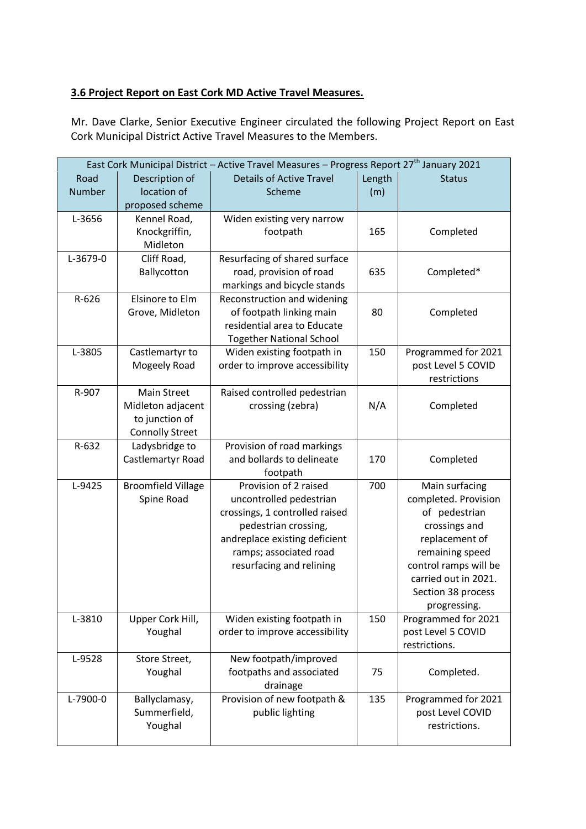# **3.6 Project Report on East Cork MD Active Travel Measures.**

Mr. Dave Clarke, Senior Executive Engineer circulated the following Project Report on East Cork Municipal District Active Travel Measures to the Members.

| East Cork Municipal District - Active Travel Measures - Progress Report 27 <sup>th</sup> January 2021 |                           |                                                         |        |                                          |
|-------------------------------------------------------------------------------------------------------|---------------------------|---------------------------------------------------------|--------|------------------------------------------|
| Road                                                                                                  | Description of            | <b>Details of Active Travel</b>                         | Length | <b>Status</b>                            |
| Number                                                                                                | location of               | Scheme                                                  | (m)    |                                          |
|                                                                                                       | proposed scheme           |                                                         |        |                                          |
| L-3656                                                                                                | Kennel Road,              | Widen existing very narrow                              |        |                                          |
|                                                                                                       | Knockgriffin,             | footpath                                                | 165    | Completed                                |
|                                                                                                       | Midleton                  |                                                         |        |                                          |
| L-3679-0                                                                                              | Cliff Road,               | Resurfacing of shared surface                           |        |                                          |
|                                                                                                       | Ballycotton               | road, provision of road                                 | 635    | Completed*                               |
|                                                                                                       |                           | markings and bicycle stands                             |        |                                          |
| R-626                                                                                                 | Elsinore to Elm           | Reconstruction and widening                             |        |                                          |
|                                                                                                       | Grove, Midleton           | of footpath linking main                                | 80     | Completed                                |
|                                                                                                       |                           | residential area to Educate                             |        |                                          |
|                                                                                                       |                           | <b>Together National School</b>                         |        |                                          |
| L-3805                                                                                                | Castlemartyr to           | Widen existing footpath in                              | 150    | Programmed for 2021                      |
|                                                                                                       | Mogeely Road              | order to improve accessibility                          |        | post Level 5 COVID                       |
|                                                                                                       |                           |                                                         |        | restrictions                             |
| R-907                                                                                                 | <b>Main Street</b>        | Raised controlled pedestrian                            |        |                                          |
|                                                                                                       | Midleton adjacent         | crossing (zebra)                                        | N/A    | Completed                                |
|                                                                                                       | to junction of            |                                                         |        |                                          |
|                                                                                                       | <b>Connolly Street</b>    |                                                         |        |                                          |
| R-632                                                                                                 | Ladysbridge to            | Provision of road markings                              |        |                                          |
|                                                                                                       | Castlemartyr Road         | and bollards to delineate                               | 170    | Completed                                |
|                                                                                                       |                           | footpath                                                |        |                                          |
| L-9425                                                                                                | <b>Broomfield Village</b> | Provision of 2 raised                                   | 700    | Main surfacing                           |
|                                                                                                       | Spine Road                | uncontrolled pedestrian                                 |        | completed. Provision                     |
|                                                                                                       |                           | crossings, 1 controlled raised                          |        | of pedestrian                            |
|                                                                                                       |                           | pedestrian crossing,                                    |        | crossings and                            |
|                                                                                                       |                           | andreplace existing deficient<br>ramps; associated road |        | replacement of                           |
|                                                                                                       |                           |                                                         |        | remaining speed<br>control ramps will be |
|                                                                                                       |                           | resurfacing and relining                                |        | carried out in 2021.                     |
|                                                                                                       |                           |                                                         |        |                                          |
|                                                                                                       |                           |                                                         |        | Section 38 process<br>progressing.       |
| L-3810                                                                                                | Upper Cork Hill,          | Widen existing footpath in                              | 150    | Programmed for 2021                      |
|                                                                                                       | Youghal                   | order to improve accessibility                          |        | post Level 5 COVID                       |
|                                                                                                       |                           |                                                         |        | restrictions.                            |
| L-9528                                                                                                | Store Street,             | New footpath/improved                                   |        |                                          |
|                                                                                                       | Youghal                   | footpaths and associated                                | 75     | Completed.                               |
|                                                                                                       |                           | drainage                                                |        |                                          |
| L-7900-0                                                                                              | Ballyclamasy,             | Provision of new footpath &                             | 135    | Programmed for 2021                      |
|                                                                                                       | Summerfield,              | public lighting                                         |        | post Level COVID                         |
|                                                                                                       | Youghal                   |                                                         |        | restrictions.                            |
|                                                                                                       |                           |                                                         |        |                                          |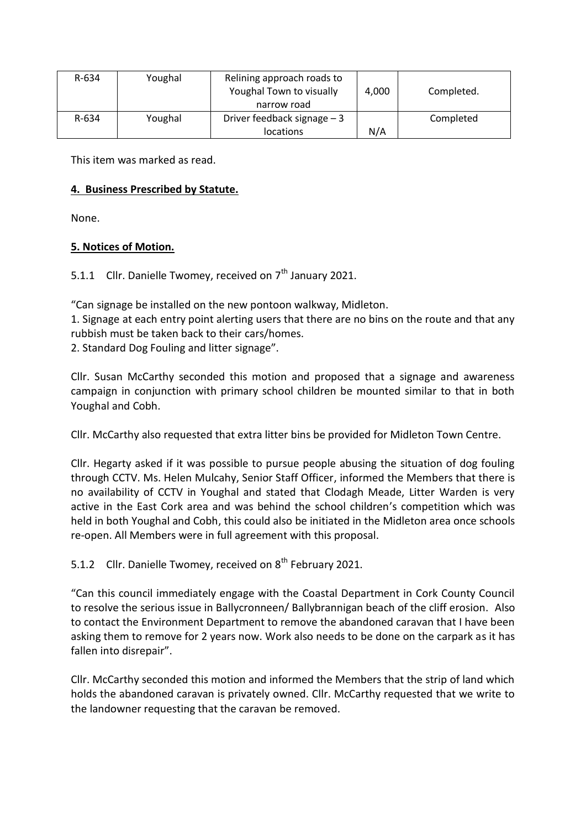| R-634 | Youghal | Relining approach roads to<br>Youghal Town to visually<br>narrow road | 4,000 | Completed. |
|-------|---------|-----------------------------------------------------------------------|-------|------------|
| R-634 | Youghal | Driver feedback signage $-3$<br><b>locations</b>                      | N/A   | Completed  |

This item was marked as read.

## **4. Business Prescribed by Statute.**

None.

## **5. Notices of Motion.**

5.1.1 Cllr. Danielle Twomey, received on  $7<sup>th</sup>$  January 2021.

"Can signage be installed on the new pontoon walkway, Midleton.

1. Signage at each entry point alerting users that there are no bins on the route and that any rubbish must be taken back to their cars/homes.

2. Standard Dog Fouling and litter signage".

Cllr. Susan McCarthy seconded this motion and proposed that a signage and awareness campaign in conjunction with primary school children be mounted similar to that in both Youghal and Cobh.

Cllr. McCarthy also requested that extra litter bins be provided for Midleton Town Centre.

Cllr. Hegarty asked if it was possible to pursue people abusing the situation of dog fouling through CCTV. Ms. Helen Mulcahy, Senior Staff Officer, informed the Members that there is no availability of CCTV in Youghal and stated that Clodagh Meade, Litter Warden is very active in the East Cork area and was behind the school children's competition which was held in both Youghal and Cobh, this could also be initiated in the Midleton area once schools re-open. All Members were in full agreement with this proposal.

5.1.2 Cllr. Danielle Twomey, received on  $8<sup>th</sup>$  February 2021.

"Can this council immediately engage with the Coastal Department in Cork County Council to resolve the serious issue in Ballycronneen/ Ballybrannigan beach of the cliff erosion. Also to contact the Environment Department to remove the abandoned caravan that I have been asking them to remove for 2 years now. Work also needs to be done on the carpark as it has fallen into disrepair".

Cllr. McCarthy seconded this motion and informed the Members that the strip of land which holds the abandoned caravan is privately owned. Cllr. McCarthy requested that we write to the landowner requesting that the caravan be removed.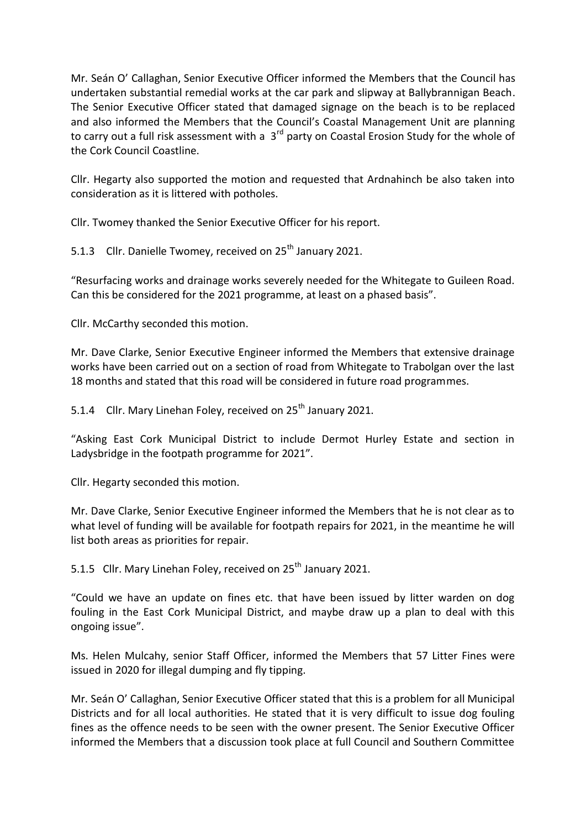Mr. Seán O' Callaghan, Senior Executive Officer informed the Members that the Council has undertaken substantial remedial works at the car park and slipway at Ballybrannigan Beach. The Senior Executive Officer stated that damaged signage on the beach is to be replaced and also informed the Members that the Council's Coastal Management Unit are planning to carry out a full risk assessment with a 3<sup>rd</sup> party on Coastal Erosion Study for the whole of the Cork Council Coastline.

Cllr. Hegarty also supported the motion and requested that Ardnahinch be also taken into consideration as it is littered with potholes.

Cllr. Twomey thanked the Senior Executive Officer for his report.

5.1.3 Cllr. Danielle Twomey, received on 25<sup>th</sup> January 2021.

"Resurfacing works and drainage works severely needed for the Whitegate to Guileen Road. Can this be considered for the 2021 programme, at least on a phased basis".

Cllr. McCarthy seconded this motion.

Mr. Dave Clarke, Senior Executive Engineer informed the Members that extensive drainage works have been carried out on a section of road from Whitegate to Trabolgan over the last 18 months and stated that this road will be considered in future road programmes.

5.1.4 Cllr. Mary Linehan Foley, received on 25<sup>th</sup> January 2021.

"Asking East Cork Municipal District to include Dermot Hurley Estate and section in Ladysbridge in the footpath programme for 2021".

Cllr. Hegarty seconded this motion.

Mr. Dave Clarke, Senior Executive Engineer informed the Members that he is not clear as to what level of funding will be available for footpath repairs for 2021, in the meantime he will list both areas as priorities for repair.

5.1.5 Cllr. Mary Linehan Foley, received on 25<sup>th</sup> January 2021.

"Could we have an update on fines etc. that have been issued by litter warden on dog fouling in the East Cork Municipal District, and maybe draw up a plan to deal with this ongoing issue".

Ms. Helen Mulcahy, senior Staff Officer, informed the Members that 57 Litter Fines were issued in 2020 for illegal dumping and fly tipping.

Mr. Seán O' Callaghan, Senior Executive Officer stated that this is a problem for all Municipal Districts and for all local authorities. He stated that it is very difficult to issue dog fouling fines as the offence needs to be seen with the owner present. The Senior Executive Officer informed the Members that a discussion took place at full Council and Southern Committee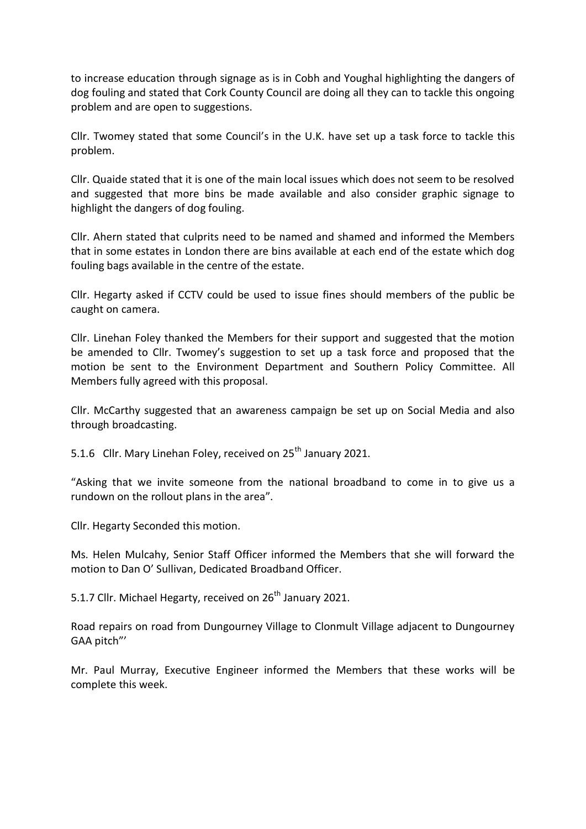to increase education through signage as is in Cobh and Youghal highlighting the dangers of dog fouling and stated that Cork County Council are doing all they can to tackle this ongoing problem and are open to suggestions.

Cllr. Twomey stated that some Council's in the U.K. have set up a task force to tackle this problem.

Cllr. Quaide stated that it is one of the main local issues which does not seem to be resolved and suggested that more bins be made available and also consider graphic signage to highlight the dangers of dog fouling.

Cllr. Ahern stated that culprits need to be named and shamed and informed the Members that in some estates in London there are bins available at each end of the estate which dog fouling bags available in the centre of the estate.

Cllr. Hegarty asked if CCTV could be used to issue fines should members of the public be caught on camera.

Cllr. Linehan Foley thanked the Members for their support and suggested that the motion be amended to Cllr. Twomey's suggestion to set up a task force and proposed that the motion be sent to the Environment Department and Southern Policy Committee. All Members fully agreed with this proposal.

Cllr. McCarthy suggested that an awareness campaign be set up on Social Media and also through broadcasting.

5.1.6 Cllr. Mary Linehan Foley, received on 25<sup>th</sup> January 2021.

"Asking that we invite someone from the national broadband to come in to give us a rundown on the rollout plans in the area".

Cllr. Hegarty Seconded this motion.

Ms. Helen Mulcahy, Senior Staff Officer informed the Members that she will forward the motion to Dan O' Sullivan, Dedicated Broadband Officer.

5.1.7 Cllr. Michael Hegarty, received on  $26<sup>th</sup>$  January 2021.

Road repairs on road from Dungourney Village to Clonmult Village adjacent to Dungourney GAA pitch"'

Mr. Paul Murray, Executive Engineer informed the Members that these works will be complete this week.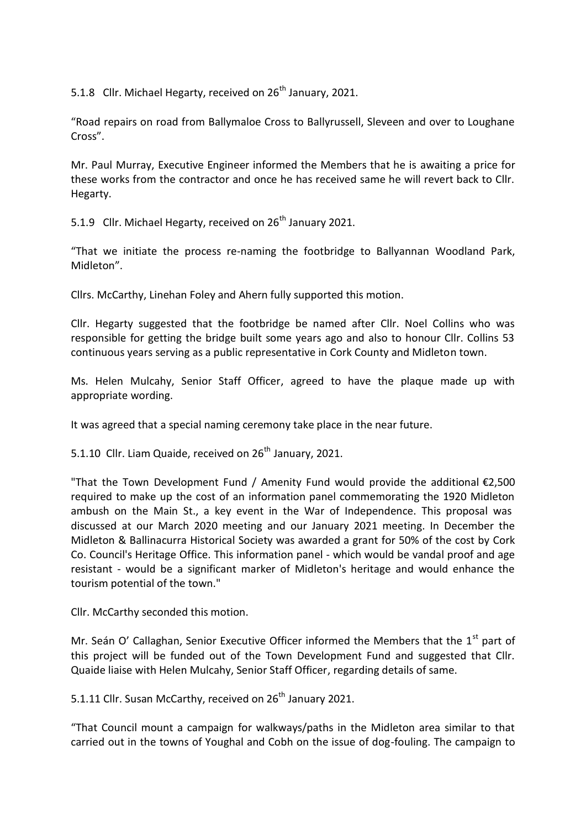5.1.8 Cllr. Michael Hegarty, received on  $26<sup>th</sup>$  January, 2021.

"Road repairs on road from Ballymaloe Cross to Ballyrussell, Sleveen and over to Loughane Cross".

Mr. Paul Murray, Executive Engineer informed the Members that he is awaiting a price for these works from the contractor and once he has received same he will revert back to Cllr. Hegarty.

5.1.9 Cllr. Michael Hegarty, received on 26<sup>th</sup> January 2021.

"That we initiate the process re-naming the footbridge to Ballyannan Woodland Park, Midleton".

Cllrs. McCarthy, Linehan Foley and Ahern fully supported this motion.

Cllr. Hegarty suggested that the footbridge be named after Cllr. Noel Collins who was responsible for getting the bridge built some years ago and also to honour Cllr. Collins 53 continuous years serving as a public representative in Cork County and Midleton town.

Ms. Helen Mulcahy, Senior Staff Officer, agreed to have the plaque made up with appropriate wording.

It was agreed that a special naming ceremony take place in the near future.

5.1.10 Cllr. Liam Quaide, received on  $26<sup>th</sup>$  January, 2021.

"That the Town Development Fund / Amenity Fund would provide the additional €2,500 required to make up the cost of an information panel commemorating the 1920 Midleton ambush on the Main St., a key event in the War of Independence. This proposal was discussed at our March 2020 meeting and our January 2021 meeting. In December the Midleton & Ballinacurra Historical Society was awarded a grant for 50% of the cost by Cork Co. Council's Heritage Office. This information panel - which would be vandal proof and age resistant - would be a significant marker of Midleton's heritage and would enhance the tourism potential of the town."

Cllr. McCarthy seconded this motion.

Mr. Seán O' Callaghan, Senior Executive Officer informed the Members that the  $1<sup>st</sup>$  part of this project will be funded out of the Town Development Fund and suggested that Cllr. Quaide liaise with Helen Mulcahy, Senior Staff Officer, regarding details of same.

5.1.11 Cllr. Susan McCarthy, received on 26<sup>th</sup> January 2021.

"That Council mount a campaign for walkways/paths in the Midleton area similar to that carried out in the towns of Youghal and Cobh on the issue of dog-fouling. The campaign to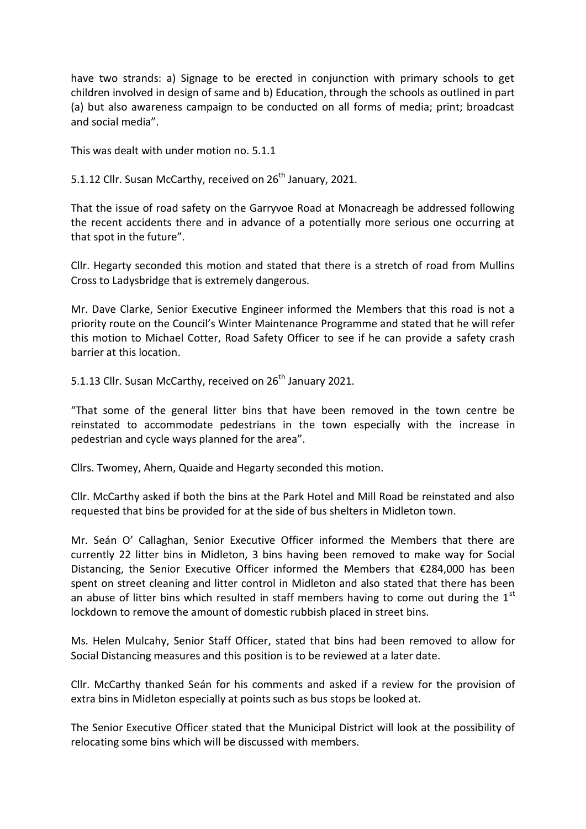have two strands: a) Signage to be erected in conjunction with primary schools to get children involved in design of same and b) Education, through the schools as outlined in part (a) but also awareness campaign to be conducted on all forms of media; print; broadcast and social media".

This was dealt with under motion no. 5.1.1

5.1.12 Cllr. Susan McCarthy, received on 26<sup>th</sup> January, 2021.

That the issue of road safety on the Garryvoe Road at Monacreagh be addressed following the recent accidents there and in advance of a potentially more serious one occurring at that spot in the future".

Cllr. Hegarty seconded this motion and stated that there is a stretch of road from Mullins Cross to Ladysbridge that is extremely dangerous.

Mr. Dave Clarke, Senior Executive Engineer informed the Members that this road is not a priority route on the Council's Winter Maintenance Programme and stated that he will refer this motion to Michael Cotter, Road Safety Officer to see if he can provide a safety crash barrier at this location.

5.1.13 Cllr. Susan McCarthy, received on 26<sup>th</sup> January 2021.

"That some of the general litter bins that have been removed in the town centre be reinstated to accommodate pedestrians in the town especially with the increase in pedestrian and cycle ways planned for the area".

Cllrs. Twomey, Ahern, Quaide and Hegarty seconded this motion.

Cllr. McCarthy asked if both the bins at the Park Hotel and Mill Road be reinstated and also requested that bins be provided for at the side of bus shelters in Midleton town.

Mr. Seán O' Callaghan, Senior Executive Officer informed the Members that there are currently 22 litter bins in Midleton, 3 bins having been removed to make way for Social Distancing, the Senior Executive Officer informed the Members that €284,000 has been spent on street cleaning and litter control in Midleton and also stated that there has been an abuse of litter bins which resulted in staff members having to come out during the  $1<sup>st</sup>$ lockdown to remove the amount of domestic rubbish placed in street bins.

Ms. Helen Mulcahy, Senior Staff Officer, stated that bins had been removed to allow for Social Distancing measures and this position is to be reviewed at a later date.

Cllr. McCarthy thanked Seán for his comments and asked if a review for the provision of extra bins in Midleton especially at points such as bus stops be looked at.

The Senior Executive Officer stated that the Municipal District will look at the possibility of relocating some bins which will be discussed with members.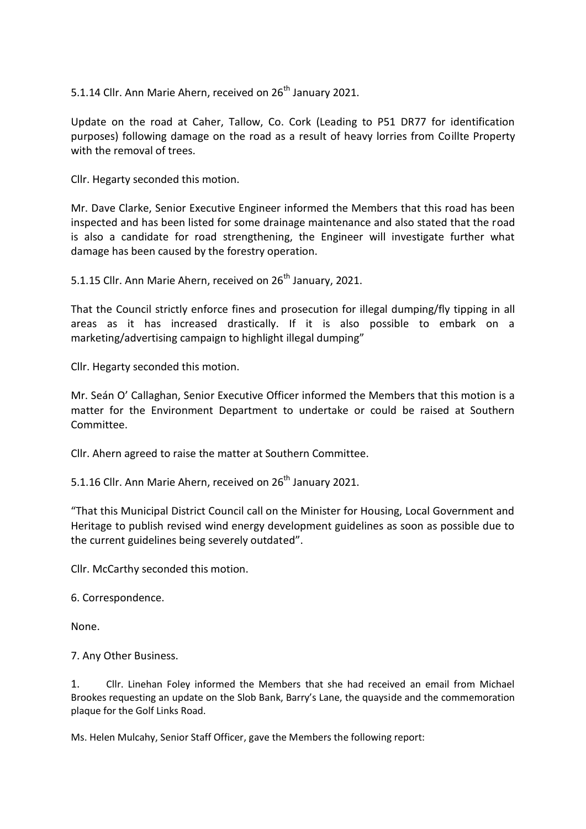5.1.14 Cllr. Ann Marie Ahern, received on 26<sup>th</sup> January 2021.

Update on the road at Caher, Tallow, Co. Cork (Leading to P51 DR77 for identification purposes) following damage on the road as a result of heavy lorries from Coillte Property with the removal of trees.

Cllr. Hegarty seconded this motion.

Mr. Dave Clarke, Senior Executive Engineer informed the Members that this road has been inspected and has been listed for some drainage maintenance and also stated that the road is also a candidate for road strengthening, the Engineer will investigate further what damage has been caused by the forestry operation.

5.1.15 Cllr. Ann Marie Ahern, received on 26<sup>th</sup> January, 2021.

That the Council strictly enforce fines and prosecution for illegal dumping/fly tipping in all areas as it has increased drastically. If it is also possible to embark on a marketing/advertising campaign to highlight illegal dumping"

Cllr. Hegarty seconded this motion.

Mr. Seán O' Callaghan, Senior Executive Officer informed the Members that this motion is a matter for the Environment Department to undertake or could be raised at Southern Committee.

Cllr. Ahern agreed to raise the matter at Southern Committee.

5.1.16 Cllr. Ann Marie Ahern, received on 26<sup>th</sup> January 2021.

"That this Municipal District Council call on the Minister for Housing, Local Government and Heritage to publish revised wind energy development guidelines as soon as possible due to the current guidelines being severely outdated".

Cllr. McCarthy seconded this motion.

6. Correspondence.

None.

7. Any Other Business.

1. Cllr. Linehan Foley informed the Members that she had received an email from Michael Brookes requesting an update on the Slob Bank, Barry's Lane, the quayside and the commemoration plaque for the Golf Links Road.

Ms. Helen Mulcahy, Senior Staff Officer, gave the Members the following report: